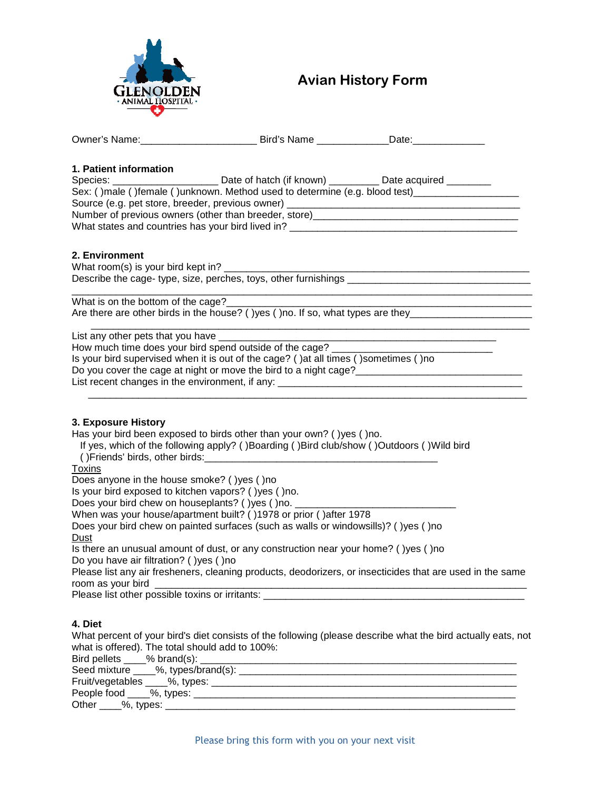

# Avian History Form

|  | Owner's Name: Sale: Bird's Name Date: Date:<br>Sex: ()male ()female ()unknown. Method used to determine (e.g. blood test)_________________________<br>Source (e.g. pet store, breeder, previous owner) _______________________________<br>Number of previous owners (other than breeder, store)____________________________ |
|--|-----------------------------------------------------------------------------------------------------------------------------------------------------------------------------------------------------------------------------------------------------------------------------------------------------------------------------|

# **2. Environment**

What room(s) is your bird kept in? Describe the cage- type, size, perches, toys, other furnishings \_\_\_\_\_\_\_\_\_\_

\_\_\_\_\_\_\_\_\_\_\_\_\_\_\_\_\_\_\_\_\_\_\_\_\_\_\_\_\_\_\_\_\_\_\_\_\_\_\_\_\_\_\_\_\_\_\_\_\_\_\_\_\_\_\_\_\_\_\_\_\_\_\_\_\_\_\_\_\_\_\_\_\_\_\_\_\_\_\_\_\_\_\_ What is on the bottom of the cage? Are there are other birds in the house? ( )yes ( )no. If so, what types are they\_\_\_\_\_\_\_

 $\overline{\phantom{a}}$  ,  $\overline{\phantom{a}}$  ,  $\overline{\phantom{a}}$  ,  $\overline{\phantom{a}}$  ,  $\overline{\phantom{a}}$  ,  $\overline{\phantom{a}}$  ,  $\overline{\phantom{a}}$  ,  $\overline{\phantom{a}}$  ,  $\overline{\phantom{a}}$  ,  $\overline{\phantom{a}}$  ,  $\overline{\phantom{a}}$  ,  $\overline{\phantom{a}}$  ,  $\overline{\phantom{a}}$  ,  $\overline{\phantom{a}}$  ,  $\overline{\phantom{a}}$  ,  $\overline{\phantom{a}}$ List any other pets that you have How much time does your bird spend outside of the cage? \_\_\_\_\_\_\_\_\_\_\_\_\_\_\_\_\_\_\_\_\_\_\_\_ Is your bird supervised when it is out of the cage? ( )at all times ( )sometimes ( )no Do you cover the cage at night or move the bird to a night cage? List recent changes in the environment, if any: \_\_\_\_\_\_\_\_\_\_\_\_\_\_\_\_\_\_\_\_\_\_\_\_\_\_\_\_\_\_\_\_\_\_\_\_\_\_\_\_\_\_\_\_\_\_\_\_\_\_\_\_\_\_\_\_\_\_\_\_\_\_\_\_\_\_\_\_\_\_\_\_\_\_\_\_\_\_\_

## **3. Exposure History**

Has your bird been exposed to birds other than your own? ( )yes ( )no.

| If yes, which of the following apply? ()Boarding ()Bird club/show ()Outdoors ()Wild bird |  |
|------------------------------------------------------------------------------------------|--|
| () Friends' birds, other birds:                                                          |  |

**Toxins** 

Does anyone in the house smoke? ( )yes ( )no

Is your bird exposed to kitchen vapors? ( )yes ( )no.

Does your bird chew on houseplants? ( )yes ( )no.

When was your house/apartment built? ( )1978 or prior ( )after 1978

Does your bird chew on painted surfaces (such as walls or windowsills)? ( )yes ( )no Dust

Is there an unusual amount of dust, or any construction near your home? ( )yes ( )no Do you have air filtration? ( )yes ( )no

Please list any air fresheners, cleaning products, deodorizers, or insecticides that are used in the same room as your bird

Please list other possible toxins or irritants: \_\_\_\_\_\_\_\_\_\_\_\_\_\_\_\_\_\_\_\_\_\_\_\_\_\_\_\_\_\_\_\_

# **4. Diet**

What percent of your bird's diet consists of the following (please describe what the bird actually eats, not what is offered). The total should add to 100%:<br>Pird pollate  $\frac{9}{6}$  brand(s):